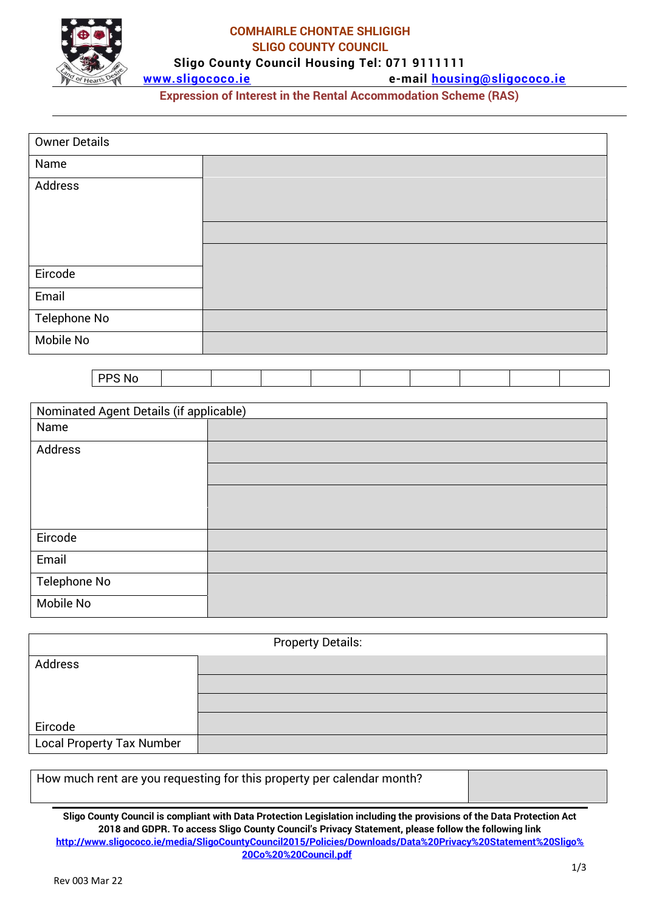

#### **COMHAIRLE CHONTAE SHLIGIGH SLIGO COUNTY COUNCIL Sligo County Council Housing Tel: 071 9111111**

**[www.sligococo.ie](http://www.sligococo.ie/) e-mail [housing@sligococo.ie](mailto:housing@sligococo.ie)**

**Expression of Interest in the Rental Accommodation Scheme (RAS)**

| <b>Owner Details</b>                    |  |  |  |  |  |  |  |  |
|-----------------------------------------|--|--|--|--|--|--|--|--|
| Name                                    |  |  |  |  |  |  |  |  |
| Address                                 |  |  |  |  |  |  |  |  |
|                                         |  |  |  |  |  |  |  |  |
|                                         |  |  |  |  |  |  |  |  |
|                                         |  |  |  |  |  |  |  |  |
| Eircode                                 |  |  |  |  |  |  |  |  |
| Email                                   |  |  |  |  |  |  |  |  |
| Telephone No                            |  |  |  |  |  |  |  |  |
| Mobile No                               |  |  |  |  |  |  |  |  |
|                                         |  |  |  |  |  |  |  |  |
| PPS No                                  |  |  |  |  |  |  |  |  |
| Nominated Agent Details (if applicable) |  |  |  |  |  |  |  |  |
| Name                                    |  |  |  |  |  |  |  |  |
| Address                                 |  |  |  |  |  |  |  |  |
|                                         |  |  |  |  |  |  |  |  |
|                                         |  |  |  |  |  |  |  |  |
|                                         |  |  |  |  |  |  |  |  |
| Eircode                                 |  |  |  |  |  |  |  |  |
| Email                                   |  |  |  |  |  |  |  |  |
| Telephone No                            |  |  |  |  |  |  |  |  |
| Mobile No                               |  |  |  |  |  |  |  |  |
| <b>Property Details:</b>                |  |  |  |  |  |  |  |  |
|                                         |  |  |  |  |  |  |  |  |

| Address                          |  |
|----------------------------------|--|
|                                  |  |
|                                  |  |
| Eircode                          |  |
| <b>Local Property Tax Number</b> |  |

How much rent are you requesting for this property per calendar month?

**Sligo County Council is compliant with Data Protection Legislation including the provisions of the Data Protection Act 2018 and GDPR. To access Sligo County Council's Privacy Statement, please follow the following link [http://www.sligococo.ie/media/SligoCountyCouncil2015/Policies/Downloads/Data%20Privacy%20Statement%20Sligo%](http://www.sligococo.ie/media/SligoCountyCouncil2015/Policies/Downloads/Data%20Privacy%20Statement%20Sligo%20Co%20%20Council.pdf) [20Co%20%20Council.pdf](http://www.sligococo.ie/media/SligoCountyCouncil2015/Policies/Downloads/Data%20Privacy%20Statement%20Sligo%20Co%20%20Council.pdf)**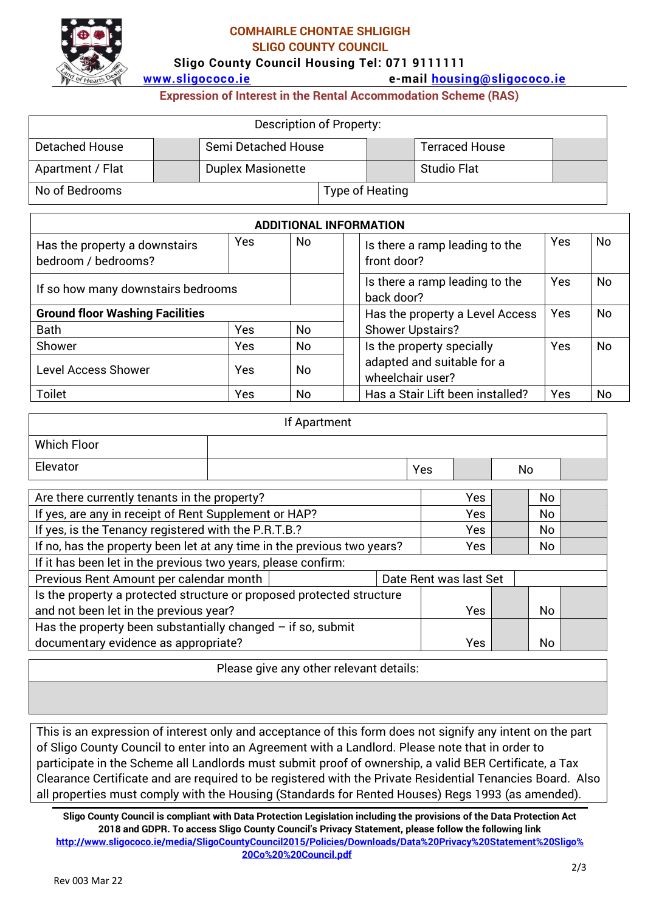

#### **COMHAIRLE CHONTAE SHLIGIGH SLIGO COUNTY COUNCIL**

**Sligo County Council Housing Tel: 071 9111111**

**[www.sligococo.ie](http://www.sligococo.ie/) e-mail [housing@sligococo.ie](mailto:housing@sligococo.ie)**

**Expression of Interest in the Rental Accommodation Scheme (RAS)**

|                                                                    |  |                          |  | Description of Property:                      |                                              |                       |           |    |  |
|--------------------------------------------------------------------|--|--------------------------|--|-----------------------------------------------|----------------------------------------------|-----------------------|-----------|----|--|
| <b>Detached House</b>                                              |  | Semi Detached House      |  |                                               |                                              | <b>Terraced House</b> |           |    |  |
| Apartment / Flat                                                   |  | <b>Duplex Masionette</b> |  |                                               |                                              | <b>Studio Flat</b>    |           |    |  |
| No of Bedrooms                                                     |  |                          |  |                                               | <b>Type of Heating</b>                       |                       |           |    |  |
| <b>ADDITIONAL INFORMATION</b>                                      |  |                          |  |                                               |                                              |                       |           |    |  |
| Yes<br>No.<br>Has the property a downstairs<br>bedroom / bedrooms? |  |                          |  | Is there a ramp leading to the<br>front door? |                                              |                       | <b>No</b> |    |  |
| If so how many downstairs bedrooms                                 |  |                          |  |                                               | Is there a ramp leading to the<br>back door? |                       |           | No |  |
| <b>Ground floor Washing Facilities</b>                             |  |                          |  |                                               | Has the property a Level Access              |                       |           | No |  |
| <b>Bath</b><br>Yes<br>No                                           |  |                          |  | <b>Shower Upstairs?</b>                       |                                              |                       |           |    |  |

| Shower              | <b>Yes</b> | No | Is the property specially |                                                | Yes | No |
|---------------------|------------|----|---------------------------|------------------------------------------------|-----|----|
| Level Access Shower | Yes        | No |                           | adapted and suitable for a<br>wheelchair user? |     |    |
| Toilet              | Yes        | No |                           | Has a Stair Lift been installed?               | Yes | No |
|                     |            |    |                           |                                                |     |    |

| If Apartment       |  |     |  |    |  |  |
|--------------------|--|-----|--|----|--|--|
| <b>Which Floor</b> |  |     |  |    |  |  |
| Elevator           |  | Yes |  | No |  |  |

| Are there currently tenants in the property?                            |  | Yes                    |  | No.       |  |
|-------------------------------------------------------------------------|--|------------------------|--|-----------|--|
| If yes, are any in receipt of Rent Supplement or HAP?                   |  | Yes                    |  | No        |  |
| If yes, is the Tenancy registered with the P.R.T.B.?                    |  | Yes                    |  | No        |  |
| If no, has the property been let at any time in the previous two years? |  | <b>Yes</b>             |  | <b>No</b> |  |
| If it has been let in the previous two years, please confirm:           |  |                        |  |           |  |
| Previous Rent Amount per calendar month                                 |  | Date Rent was last Set |  |           |  |
| Is the property a protected structure or proposed protected structure   |  |                        |  |           |  |
| and not been let in the previous year?                                  |  | Yes                    |  | <b>No</b> |  |
| Has the property been substantially changed $-$ if so, submit           |  |                        |  |           |  |
| documentary evidence as appropriate?                                    |  | Yes                    |  | No        |  |

Please give any other relevant details:

This is an expression of interest only and acceptance of this form does not signify any intent on the part of Sligo County Council to enter into an Agreement with a Landlord. Please note that in order to participate in the Scheme all Landlords must submit proof of ownership, a valid BER Certificate, a Tax Clearance Certificate and are required to be registered with the Private Residential Tenancies Board. Also all properties must comply with the Housing (Standards for Rented Houses) Regs 1993 (as amended).

**Sligo County Council is compliant with Data Protection Legislation including the provisions of the Data Protection Act 2018 and GDPR. To access Sligo County Council's Privacy Statement, please follow the following link [http://www.sligococo.ie/media/SligoCountyCouncil2015/Policies/Downloads/Data%20Privacy%20Statement%20Sligo%](http://www.sligococo.ie/media/SligoCountyCouncil2015/Policies/Downloads/Data%20Privacy%20Statement%20Sligo%20Co%20%20Council.pdf) [20Co%20%20Council.pdf](http://www.sligococo.ie/media/SligoCountyCouncil2015/Policies/Downloads/Data%20Privacy%20Statement%20Sligo%20Co%20%20Council.pdf)**